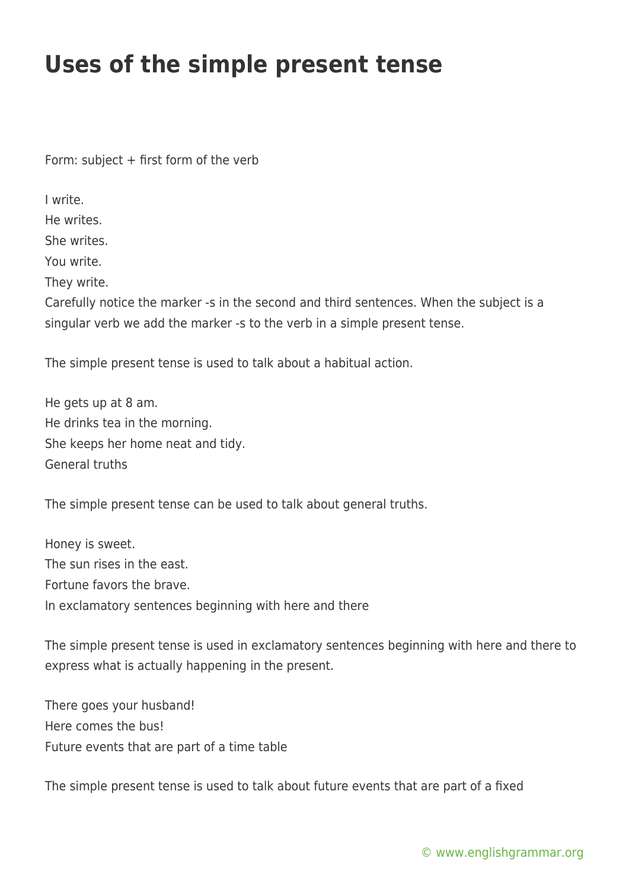## **Uses of the simple present tense**

Form: subject  $+$  first form of the verb

I write. He writes.

She writes.

You write.

They write.

Carefully notice the marker -s in the second and third sentences. When the subject is a singular verb we add the marker -s to the verb in a simple present tense.

The simple present tense is used to talk about a habitual action.

He gets up at 8 am. He drinks tea in the morning. She keeps her home neat and tidy. General truths

The simple present tense can be used to talk about general truths.

Honey is sweet. The sun rises in the east. Fortune favors the brave. In exclamatory sentences beginning with here and there

The simple present tense is used in exclamatory sentences beginning with here and there to express what is actually happening in the present.

There goes your husband! Here comes the bus! Future events that are part of a time table

The simple present tense is used to talk about future events that are part of a fixed